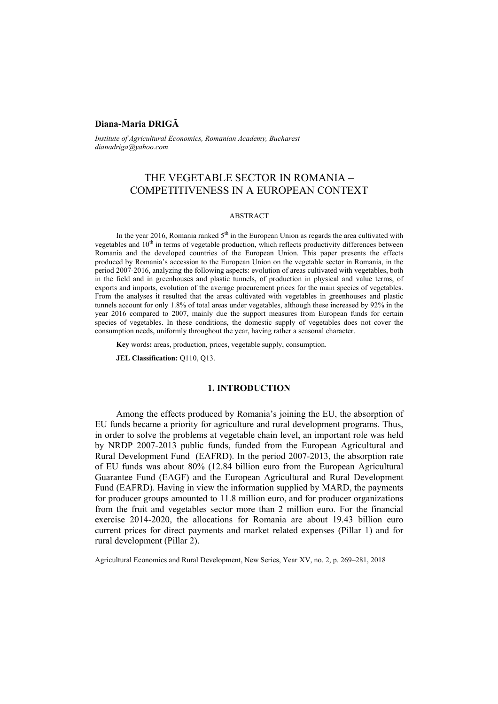### **Diana-Maria DRIGĂ**

*Institute of Agricultural Economics, Romanian Academy, Bucharest dianadriga@yahoo.com*

# THE VEGETABLE SECTOR IN ROMANIA – COMPETITIVENESS IN A EUROPEAN CONTEXT

#### ABSTRACT

In the year 2016, Romania ranked  $5<sup>th</sup>$  in the European Union as regards the area cultivated with vegetables and 10<sup>th</sup> in terms of vegetable production, which reflects productivity differences between Romania and the developed countries of the European Union. This paper presents the effects produced by Romania's accession to the European Union on the vegetable sector in Romania, in the period 2007-2016, analyzing the following aspects: evolution of areas cultivated with vegetables, both in the field and in greenhouses and plastic tunnels, of production in physical and value terms, of exports and imports, evolution of the average procurement prices for the main species of vegetables. From the analyses it resulted that the areas cultivated with vegetables in greenhouses and plastic tunnels account for only 1.8% of total areas under vegetables, although these increased by 92% in the year 2016 compared to 2007, mainly due the support measures from European funds for certain species of vegetables. In these conditions, the domestic supply of vegetables does not cover the consumption needs, uniformly throughout the year, having rather a seasonal character.

**Key** words**:** areas, production, prices, vegetable supply, consumption.

**JEL Classification:** Q110, Q13.

### **1. INTRODUCTION**

Among the effects produced by Romania's joining the EU, the absorption of EU funds became a priority for agriculture and rural development programs. Thus, in order to solve the problems at vegetable chain level, an important role was held by NRDP 2007-2013 public funds, funded from the European Agricultural and Rural Development Fund (EAFRD). In the period 2007-2013, the absorption rate of EU funds was about 80% (12.84 billion euro from the European Agricultural Guarantee Fund (EAGF) and the European Agricultural and Rural Development Fund (EAFRD). Having in view the information supplied by MARD, the payments for producer groups amounted to 11.8 million euro, and for producer organizations from the fruit and vegetables sector more than 2 million euro. For the financial exercise 2014-2020, the allocations for Romania are about 19.43 billion euro current prices for direct payments and market related expenses (Pillar 1) and for rural development (Pillar 2).

Agricultural Economics and Rural Development, New Series, Year XV, no. 2, p. 269–281, 2018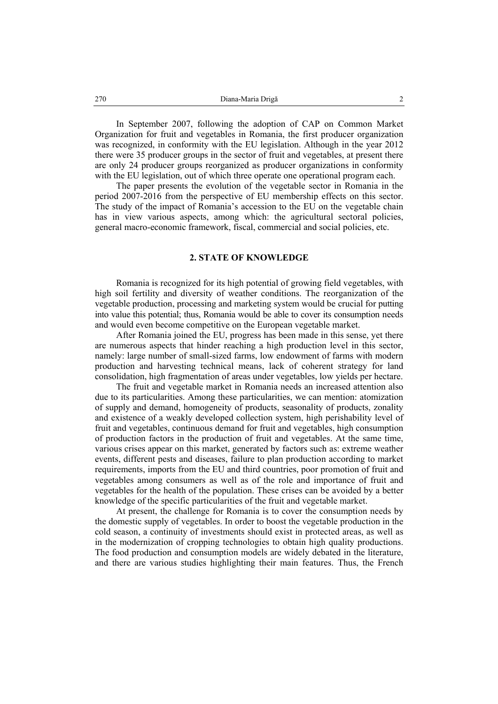In September 2007, following the adoption of CAP on Common Market Organization for fruit and vegetables in Romania, the first producer organization was recognized, in conformity with the EU legislation. Although in the year 2012 there were 35 producer groups in the sector of fruit and vegetables, at present there are only 24 producer groups reorganized as producer organizations in conformity with the EU legislation, out of which three operate one operational program each.

The paper presents the evolution of the vegetable sector in Romania in the period 2007-2016 from the perspective of EU membership effects on this sector. The study of the impact of Romania's accession to the EU on the vegetable chain has in view various aspects, among which: the agricultural sectoral policies, general macro-economic framework, fiscal, commercial and social policies, etc.

#### **2. STATE OF KNOWLEDGE**

Romania is recognized for its high potential of growing field vegetables, with high soil fertility and diversity of weather conditions. The reorganization of the vegetable production, processing and marketing system would be crucial for putting into value this potential; thus, Romania would be able to cover its consumption needs and would even become competitive on the European vegetable market.

After Romania joined the EU, progress has been made in this sense, yet there are numerous aspects that hinder reaching a high production level in this sector, namely: large number of small-sized farms, low endowment of farms with modern production and harvesting technical means, lack of coherent strategy for land consolidation, high fragmentation of areas under vegetables, low yields per hectare.

The fruit and vegetable market in Romania needs an increased attention also due to its particularities. Among these particularities, we can mention: atomization of supply and demand, homogeneity of products, seasonality of products, zonality and existence of a weakly developed collection system, high perishability level of fruit and vegetables, continuous demand for fruit and vegetables, high consumption of production factors in the production of fruit and vegetables. At the same time, various crises appear on this market, generated by factors such as: extreme weather events, different pests and diseases, failure to plan production according to market requirements, imports from the EU and third countries, poor promotion of fruit and vegetables among consumers as well as of the role and importance of fruit and vegetables for the health of the population. These crises can be avoided by a better knowledge of the specific particularities of the fruit and vegetable market.

At present, the challenge for Romania is to cover the consumption needs by the domestic supply of vegetables. In order to boost the vegetable production in the cold season, a continuity of investments should exist in protected areas, as well as in the modernization of cropping technologies to obtain high quality productions. The food production and consumption models are widely debated in the literature, and there are various studies highlighting their main features. Thus, the French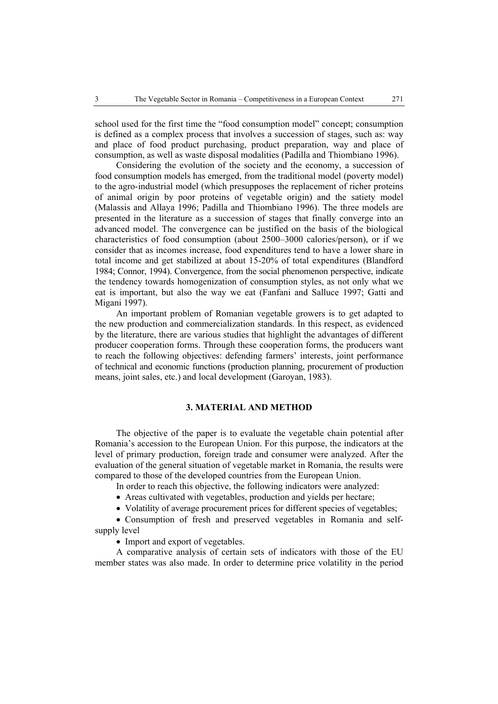school used for the first time the "food consumption model" concept; consumption is defined as a complex process that involves a succession of stages, such as: way and place of food product purchasing, product preparation, way and place of consumption, as well as waste disposal modalities (Padilla and Thiombiano 1996).

Considering the evolution of the society and the economy, a succession of food consumption models has emerged, from the traditional model (poverty model) to the agro-industrial model (which presupposes the replacement of richer proteins of animal origin by poor proteins of vegetable origin) and the satiety model (Malassis and Allaya 1996; Padilla and Thiombiano 1996). The three models are presented in the literature as a succession of stages that finally converge into an advanced model. The convergence can be justified on the basis of the biological characteristics of food consumption (about 2500–3000 calories/person), or if we consider that as incomes increase, food expenditures tend to have a lower share in total income and get stabilized at about 15-20% of total expenditures (Blandford 1984; Connor, 1994). Convergence, from the social phenomenon perspective, indicate the tendency towards homogenization of consumption styles, as not only what we eat is important, but also the way we eat (Fanfani and Salluce 1997; Gatti and Migani 1997).

An important problem of Romanian vegetable growers is to get adapted to the new production and commercialization standards. In this respect, as evidenced by the literature, there are various studies that highlight the advantages of different producer cooperation forms. Through these cooperation forms, the producers want to reach the following objectives: defending farmers' interests, joint performance of technical and economic functions (production planning, procurement of production means, joint sales, etc.) and local development (Garoyan, 1983).

## **3. MATERIAL AND METHOD**

The objective of the paper is to evaluate the vegetable chain potential after Romania's accession to the European Union. For this purpose, the indicators at the level of primary production, foreign trade and consumer were analyzed. After the evaluation of the general situation of vegetable market in Romania, the results were compared to those of the developed countries from the European Union.

In order to reach this objective, the following indicators were analyzed:

- Areas cultivated with vegetables, production and yields per hectare;
- Volatility of average procurement prices for different species of vegetables;

• Consumption of fresh and preserved vegetables in Romania and selfsupply level

• Import and export of vegetables.

A comparative analysis of certain sets of indicators with those of the EU member states was also made. In order to determine price volatility in the period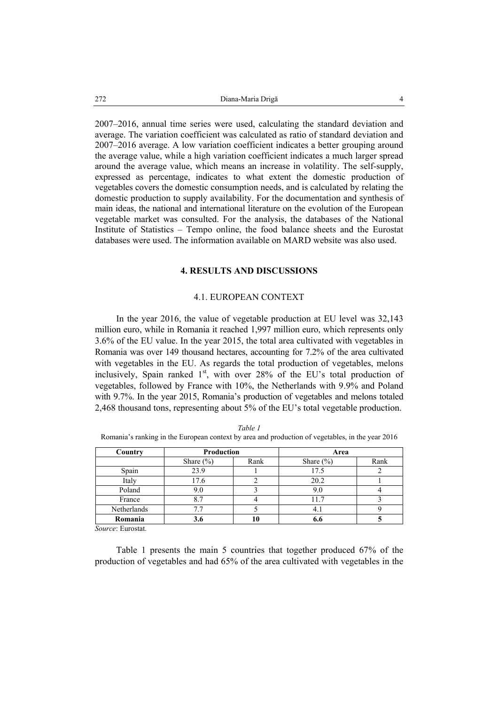2007–2016, annual time series were used, calculating the standard deviation and average. The variation coefficient was calculated as ratio of standard deviation and 2007–2016 average. A low variation coefficient indicates a better grouping around the average value, while a high variation coefficient indicates a much larger spread around the average value, which means an increase in volatility. The self-supply, expressed as percentage, indicates to what extent the domestic production of vegetables covers the domestic consumption needs, and is calculated by relating the domestic production to supply availability. For the documentation and synthesis of main ideas, the national and international literature on the evolution of the European vegetable market was consulted. For the analysis, the databases of the National Institute of Statistics – Tempo online, the food balance sheets and the Eurostat databases were used. The information available on MARD website was also used.

### **4. RESULTS AND DISCUSSIONS**

### 4.1. EUROPEAN CONTEXT

In the year 2016, the value of vegetable production at EU level was 32,143 million euro, while in Romania it reached 1,997 million euro, which represents only 3.6% of the EU value. In the year 2015, the total area cultivated with vegetables in Romania was over 149 thousand hectares, accounting for 7.2% of the area cultivated with vegetables in the EU. As regards the total production of vegetables, melons inclusively, Spain ranked  $1<sup>st</sup>$ , with over 28% of the EU's total production of vegetables, followed by France with 10%, the Netherlands with 9.9% and Poland with 9.7%. In the year 2015, Romania's production of vegetables and melons totaled 2,468 thousand tons, representing about 5% of the EU's total vegetable production.

| Country     | <b>Production</b> |      | Area          |      |
|-------------|-------------------|------|---------------|------|
|             | Share $(\% )$     | Rank | Share $(\% )$ | Rank |
| Spain       | 23.9              |      | 17.5          |      |
| Italy       | 17.6              |      | 20.2          |      |
| Poland      | 9.0               |      | 9.0           |      |
| France      | 8.7               |      | 11.7          |      |
| Netherlands |                   |      | 4.1           |      |
| Romania     | 3.6               |      | 6.6           |      |

*Table 1*  Romania's ranking in the European context by area and production of vegetables, in the year 2016

*Source*: Eurostat.

Table 1 presents the main 5 countries that together produced 67% of the production of vegetables and had 65% of the area cultivated with vegetables in the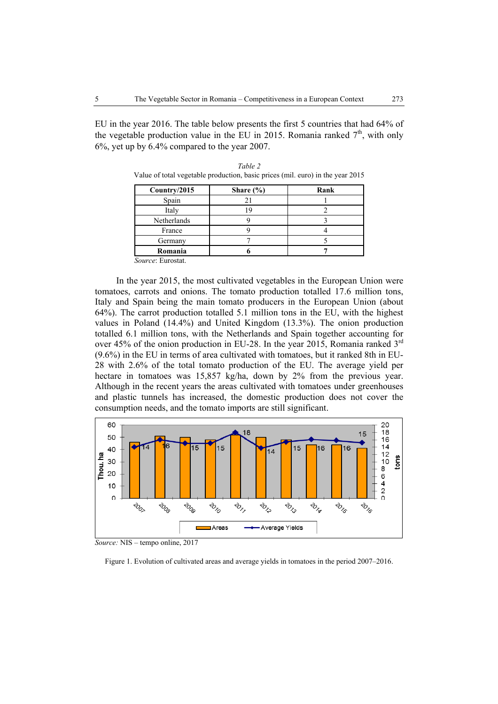EU in the year 2016. The table below presents the first 5 countries that had 64% of the vegetable production value in the EU in 2015. Romania ranked  $7<sup>th</sup>$ , with only 6%, yet up by 6.4% compared to the year 2007.

| Country/2015 | Share $(\% )$ | Rank |
|--------------|---------------|------|
| Spain        |               |      |
| Italy        |               |      |
| Netherlands  |               |      |
| France       |               |      |
| Germany      |               |      |
| Romania      |               |      |

*Table 2*  Value of total vegetable production, basic prices (mil. euro) in the year 2015

In the year 2015, the most cultivated vegetables in the European Union were tomatoes, carrots and onions. The tomato production totalled 17.6 million tons, Italy and Spain being the main tomato producers in the European Union (about 64%). The carrot production totalled 5.1 million tons in the EU, with the highest values in Poland (14.4%) and United Kingdom (13.3%). The onion production totalled 6.1 million tons, with the Netherlands and Spain together accounting for over 45% of the onion production in EU-28. In the year 2015, Romania ranked  $3<sup>rd</sup>$ (9.6%) in the EU in terms of area cultivated with tomatoes, but it ranked 8th in EU-28 with 2.6% of the total tomato production of the EU. The average yield per hectare in tomatoes was 15,857 kg/ha, down by 2% from the previous year. Although in the recent years the areas cultivated with tomatoes under greenhouses and plastic tunnels has increased, the domestic production does not cover the consumption needs, and the tomato imports are still significant.



*Source:* NIS – tempo online, 2017

Figure 1. Evolution of cultivated areas and average yields in tomatoes in the period 2007–2016.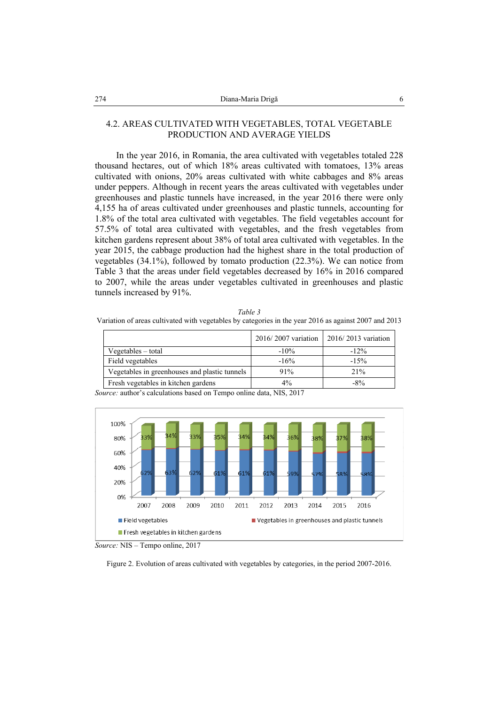### 4.2. AREAS CULTIVATED WITH VEGETABLES, TOTAL VEGETABLE PRODUCTION AND AVERAGE YIELDS

In the year 2016, in Romania, the area cultivated with vegetables totaled 228 thousand hectares, out of which 18% areas cultivated with tomatoes, 13% areas cultivated with onions, 20% areas cultivated with white cabbages and 8% areas under peppers. Although in recent years the areas cultivated with vegetables under greenhouses and plastic tunnels have increased, in the year 2016 there were only 4,155 ha of areas cultivated under greenhouses and plastic tunnels, accounting for 1.8% of the total area cultivated with vegetables. The field vegetables account for 57.5% of total area cultivated with vegetables, and the fresh vegetables from kitchen gardens represent about 38% of total area cultivated with vegetables. In the year 2015, the cabbage production had the highest share in the total production of vegetables (34.1%), followed by tomato production (22.3%). We can notice from Table 3 that the areas under field vegetables decreased by 16% in 2016 compared to 2007, while the areas under vegetables cultivated in greenhouses and plastic tunnels increased by 91%.

*Table 3*  Variation of areas cultivated with vegetables by categories in the year 2016 as against 2007 and 2013

|                                               | 2016/2007 variation   2016/2013 variation |        |
|-----------------------------------------------|-------------------------------------------|--------|
| Vegetables – total                            | $-10%$                                    | $-12%$ |
| Field vegetables                              | $-16%$                                    | $-15%$ |
| Vegetables in greenhouses and plastic tunnels | 91%                                       | 21%    |
| Fresh vegetables in kitchen gardens           | 4%                                        | $-8\%$ |





*Source:* NIS – Tempo online, 2017

Figure 2. Evolution of areas cultivated with vegetables by categories, in the period 2007-2016.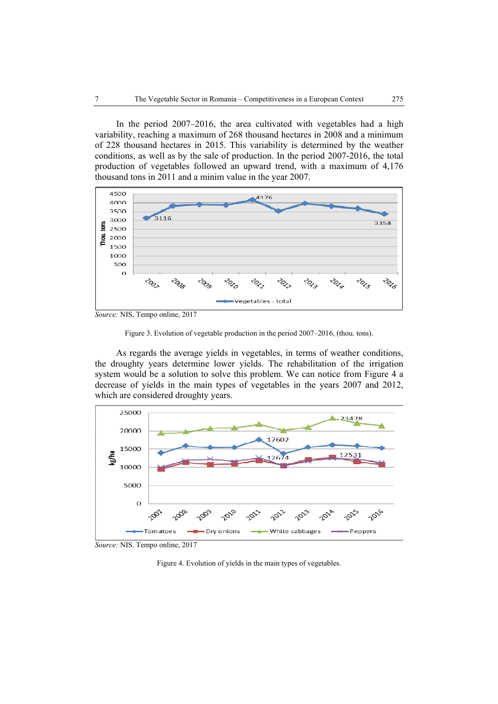In the period 2007–2016, the area cultivated with vegetables had a high variability, reaching a maximum of 268 thousand hectares in 2008 and a minimum of 228 thousand hectares in 2015. This variability is determined by the weather conditions, as well as by the sale of production. In the period 2007-2016, the total production of vegetables followed an upward trend, with a maximum of 4,176 thousand tons in 2011 and a minim value in the year 2007.



*Source:* NIS, Tempo online, 2017



As regards the average yields in vegetables, in terms of weather conditions, the droughty years determine lower yields. The rehabilitation of the irrigation system would be a solution to solve this problem. We can notice from Figure 4 a decrease of yields in the main types of vegetables in the years 2007 and 2012, which are considered droughty years.



*Source:* NIS. Tempo online, 2017

Figure 4. Evolution of yields in the main types of vegetables.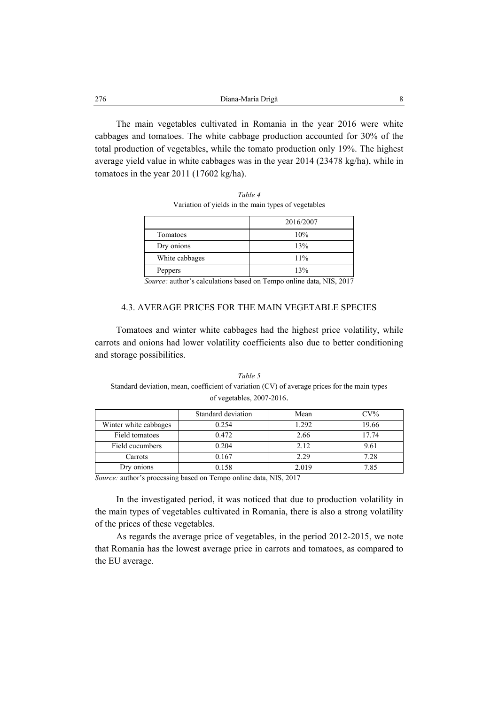| 276 | Diana-Maria Drigă |  |
|-----|-------------------|--|
|     |                   |  |

The main vegetables cultivated in Romania in the year 2016 were white cabbages and tomatoes. The white cabbage production accounted for 30% of the total production of vegetables, while the tomato production only 19%. The highest average yield value in white cabbages was in the year 2014 (23478 kg/ha), while in tomatoes in the year 2011 (17602 kg/ha).

> *Table 4*  Variation of yields in the main types of vegetables

|                | 2016/2007 |
|----------------|-----------|
| Tomatoes       | 10%       |
| Dry onions     | 13%       |
| White cabbages | 11%       |
| Peppers        | 13%       |

 *Source:* author's calculations based on Tempo online data, NIS, 2017

#### 4.3. AVERAGE PRICES FOR THE MAIN VEGETABLE SPECIES

Tomatoes and winter white cabbages had the highest price volatility, while carrots and onions had lower volatility coefficients also due to better conditioning and storage possibilities.

*Table 5*  Standard deviation, mean, coefficient of variation (CV) of average prices for the main types of vegetables, 2007-2016.

|                       | Standard deviation | Mean  | $CV\%$ |
|-----------------------|--------------------|-------|--------|
| Winter white cabbages | 0.254              | 1.292 | 19.66  |
| Field tomatoes        | 0.472              | 2.66  | 17.74  |
| Field cucumbers       | 0.204              | 2.12  | 9.61   |
| Carrots               | 0.167              | 2.29  | 7.28   |
| Dry onions            | 0.158              | 2.019 | 7.85   |

*Source:* author's processing based on Tempo online data, NIS, 2017

In the investigated period, it was noticed that due to production volatility in the main types of vegetables cultivated in Romania, there is also a strong volatility of the prices of these vegetables.

As regards the average price of vegetables, in the period 2012-2015, we note that Romania has the lowest average price in carrots and tomatoes, as compared to the EU average.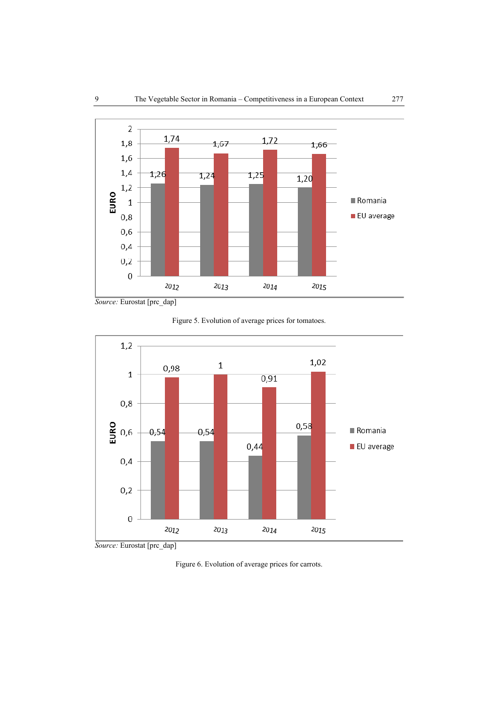

*Source:* Eurostat [prc\_dap]

Figure 5. Evolution of average prices for tomatoes.



Figure 6. Evolution of average prices for carrots.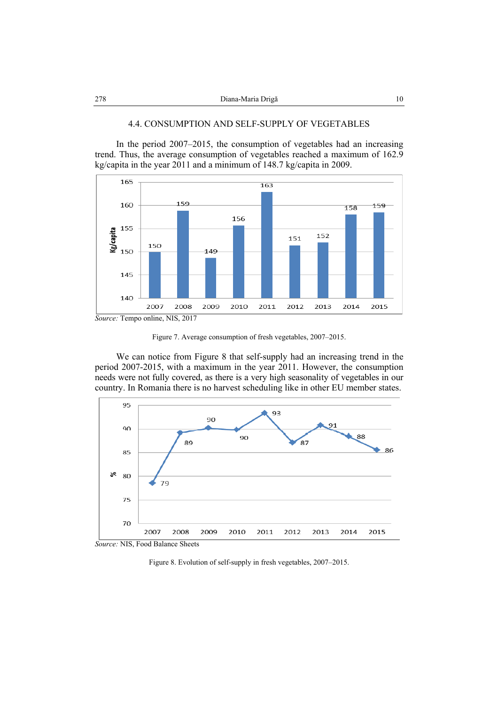### 4.4. CONSUMPTION AND SELF-SUPPLY OF VEGETABLES

In the period 2007–2015, the consumption of vegetables had an increasing trend. Thus, the average consumption of vegetables reached a maximum of 162.9 kg/capita in the year 2011 and a minimum of 148.7 kg/capita in 2009.



Figure 7. Average consumption of fresh vegetables, 2007–2015.

We can notice from Figure 8 that self-supply had an increasing trend in the period 2007-2015, with a maximum in the year 2011. However, the consumption needs were not fully covered, as there is a very high seasonality of vegetables in our country. In Romania there is no harvest scheduling like in other EU member states.



*Source:* NIS, Food Balance Sheets

Figure 8. Evolution of self-supply in fresh vegetables, 2007–2015.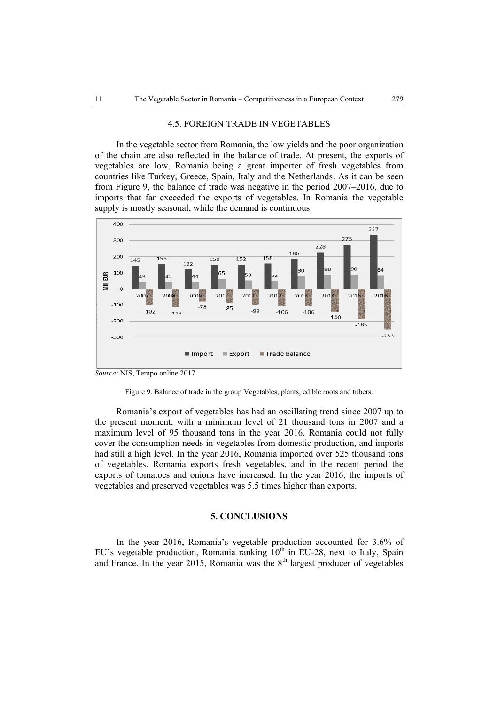#### 4.5. FOREIGN TRADE IN VEGETABLES

In the vegetable sector from Romania, the low yields and the poor organization of the chain are also reflected in the balance of trade. At present, the exports of vegetables are low, Romania being a great importer of fresh vegetables from countries like Turkey, Greece, Spain, Italy and the Netherlands. As it can be seen from Figure 9, the balance of trade was negative in the period 2007–2016, due to imports that far exceeded the exports of vegetables. In Romania the vegetable supply is mostly seasonal, while the demand is continuous.



*Source:* NIS, Tempo online 2017



Romania's export of vegetables has had an oscillating trend since 2007 up to the present moment, with a minimum level of 21 thousand tons in 2007 and a maximum level of 95 thousand tons in the year 2016. Romania could not fully cover the consumption needs in vegetables from domestic production, and imports had still a high level. In the year 2016, Romania imported over 525 thousand tons of vegetables. Romania exports fresh vegetables, and in the recent period the exports of tomatoes and onions have increased. In the year 2016, the imports of vegetables and preserved vegetables was 5.5 times higher than exports.

### **5. CONCLUSIONS**

In the year 2016, Romania's vegetable production accounted for 3.6% of EU's vegetable production, Romania ranking  $10<sup>th</sup>$  in EU-28, next to Italy, Spain and France. In the year 2015, Romania was the  $8<sup>th</sup>$  largest producer of vegetables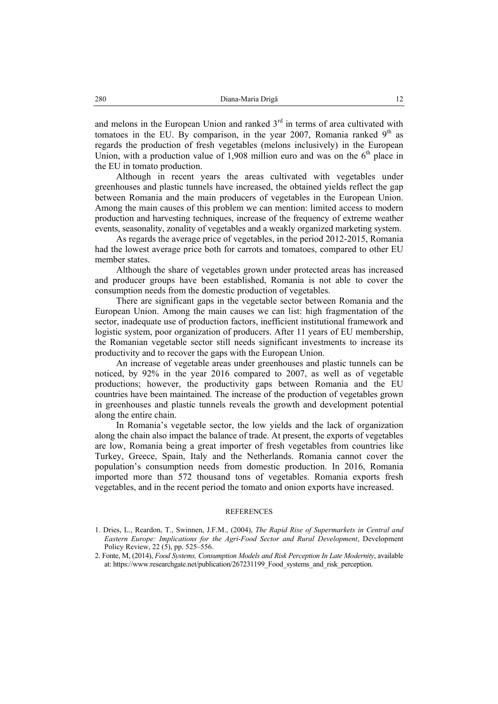and melons in the European Union and ranked  $3<sup>rd</sup>$  in terms of area cultivated with tomatoes in the EU. By comparison, in the year 2007, Romania ranked  $9<sup>th</sup>$  as regards the production of fresh vegetables (melons inclusively) in the European Union, with a production value of 1,908 million euro and was on the  $6<sup>th</sup>$  place in the EU in tomato production.

Although in recent years the areas cultivated with vegetables under greenhouses and plastic tunnels have increased, the obtained yields reflect the gap between Romania and the main producers of vegetables in the European Union. Among the main causes of this problem we can mention: limited access to modern production and harvesting techniques, increase of the frequency of extreme weather events, seasonality, zonality of vegetables and a weakly organized marketing system.

As regards the average price of vegetables, in the period 2012-2015, Romania had the lowest average price both for carrots and tomatoes, compared to other EU member states.

Although the share of vegetables grown under protected areas has increased and producer groups have been established, Romania is not able to cover the consumption needs from the domestic production of vegetables.

There are significant gaps in the vegetable sector between Romania and the European Union. Among the main causes we can list: high fragmentation of the sector, inadequate use of production factors, inefficient institutional framework and logistic system, poor organization of producers. After 11 years of EU membership, the Romanian vegetable sector still needs significant investments to increase its productivity and to recover the gaps with the European Union.

An increase of vegetable areas under greenhouses and plastic tunnels can be noticed, by 92% in the year 2016 compared to 2007, as well as of vegetable productions; however, the productivity gaps between Romania and the EU countries have been maintained. The increase of the production of vegetables grown in greenhouses and plastic tunnels reveals the growth and development potential along the entire chain.

In Romania's vegetable sector, the low yields and the lack of organization along the chain also impact the balance of trade. At present, the exports of vegetables are low, Romania being a great importer of fresh vegetables from countries like Turkey, Greece, Spain, Italy and the Netherlands. Romania cannot cover the population's consumption needs from domestic production. In 2016, Romania imported more than 572 thousand tons of vegetables. Romania exports fresh vegetables, and in the recent period the tomato and onion exports have increased.

#### **REFERENCES**

<sup>1.</sup> Dries, L., Reardon, T., Swinnen, J.F.M., (2004), *The Rapid Rise of Supermarkets in Central and Eastern Europe: Implications for the Agri-Food Sector and Rural Development*, Development Policy Review, 22 (5), pp. 525–556.

<sup>2.</sup> Fonte, M, (2014), *Food Systems, Consumption Models and Risk Perception In Late Modernity*, available at: https://www.researchgate.net/publication/267231199\_Food\_systems\_and\_risk\_perception.